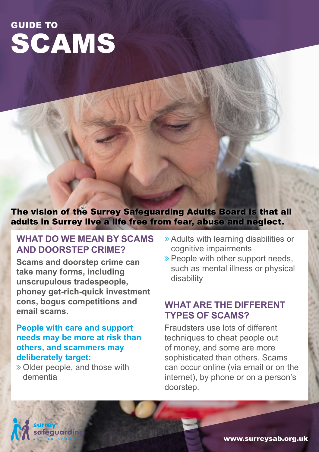# SCAMS GUIDE TO

The vision of the Surrey Safeguarding Adults Board is that all adults in Surrey live a life free from fear, abuse and neglect.

#### **WHAT DO WE MEAN BY SCAMS AND DOORSTEP CRIME?**

**Scams and doorstep crime can take many forms, including unscrupulous tradespeople, phoney get-rich-quick investment cons, bogus competitions and email scams.**

#### **People with care and support needs may be more at risk than others, and scammers may deliberately target:**

ò Older people, and those with dementia

- ò Adults with learning disabilities or cognitive impairments
- $\triangleright$  People with other support needs, such as mental illness or physical disability

#### **WHAT ARE THE DIFFERENT TYPES OF SCAMS?**

Fraudsters use lots of different techniques to cheat people out of money, and some are more sophisticated than others. Scams can occur online (via email or on the internet), by phone or on a person's doorstep.